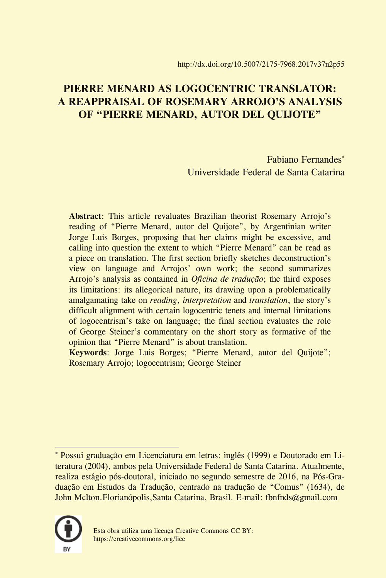# **PIERRE MENARD AS LOGOCENTRIC TRANSLATOR: A REAPPRAISAL OF ROSEMARY ARROJO'S ANALYSIS OF "PIERRE MENARD, AUTOR DEL QUIJOTE"**

Fabiano Fernandes\* Universidade Federal de Santa Catarina

**Abstract**: This article revaluates Brazilian theorist Rosemary Arrojo's reading of "Pierre Menard, autor del Quijote", by Argentinian writer Jorge Luis Borges, proposing that her claims might be excessive, and calling into question the extent to which "Pierre Menard" can be read as a piece on translation. The first section briefly sketches deconstruction's view on language and Arrojos' own work; the second summarizes Arrojo's analysis as contained in *Oficina de tradução*; the third exposes its limitations: its allegorical nature, its drawing upon a problematically amalgamating take on *reading*, *interpretation* and *translation*, the story's difficult alignment with certain logocentric tenets and internal limitations of logocentrism's take on language; the final section evaluates the role of George Steiner's commentary on the short story as formative of the opinion that "Pierre Menard" is about translation.

**Keywords**: Jorge Luis Borges; "Pierre Menard, autor del Quijote"; Rosemary Arrojo; logocentrism; George Steiner

<sup>\*</sup> Possui graduação em Licenciatura em letras: inglês (1999) e Doutorado em Literatura (2004), ambos pela Universidade Federal de Santa Catarina. Atualmente, realiza estágio pós-doutoral, iniciado no segundo semestre de 2016, na Pós-Graduação em Estudos da Tradução, centrado na tradução de "Comus" (1634), de John Mclton.Florianópolis,Santa Catarina, Brasil. E-mail: fbnfnds@gmail.com



Esta obra utiliza uma licença Creative Commons CC BY: https://creativecommons.org/lice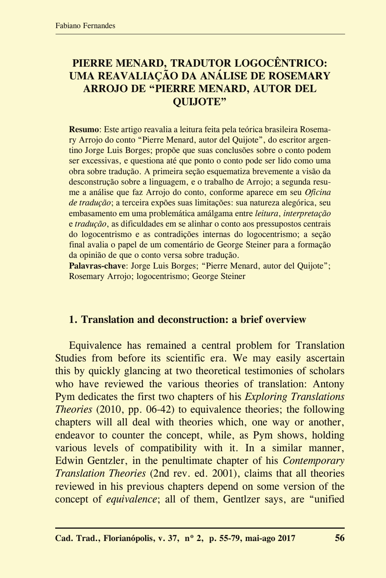# **PIERRE MENARD, TRADUTOR LOGOCÊNTRICO: UMA REAVALIAÇÃO DA ANÁLISE DE ROSEMARY ARROJO DE "PIERRE MENARD, AUTOR DEL QUIJOTE"**

**Resumo**: Este artigo reavalia a leitura feita pela teórica brasileira Rosemary Arrojo do conto "Pierre Menard, autor del Quijote", do escritor argentino Jorge Luis Borges; propõe que suas conclusões sobre o conto podem ser excessivas, e questiona até que ponto o conto pode ser lido como uma obra sobre tradução. A primeira seção esquematiza brevemente a visão da desconstrução sobre a linguagem, e o trabalho de Arrojo; a segunda resume a análise que faz Arrojo do conto, conforme aparece em seu *Oficina de tradução*; a terceira expões suas limitações: sua natureza alegórica, seu embasamento em uma problemática amálgama entre *leitura*, *interpretação* e *tradução*, as dificuldades em se alinhar o conto aos pressupostos centrais do logocentrismo e as contradições internas do logocentrismo; a seção final avalia o papel de um comentário de George Steiner para a formação da opinião de que o conto versa sobre tradução.

**Palavras-chave**: Jorge Luis Borges; "Pierre Menard, autor del Quijote"; Rosemary Arrojo; logocentrismo; George Steiner

#### **1. Translation and deconstruction: a brief overview**

Equivalence has remained a central problem for Translation Studies from before its scientific era. We may easily ascertain this by quickly glancing at two theoretical testimonies of scholars who have reviewed the various theories of translation: Antony Pym dedicates the first two chapters of his *Exploring Translations Theories* (2010, pp. 06-42) to equivalence theories; the following chapters will all deal with theories which, one way or another, endeavor to counter the concept, while, as Pym shows, holding various levels of compatibility with it. In a similar manner, Edwin Gentzler, in the penultimate chapter of his *Contemporary Translation Theories* (2nd rev. ed. 2001), claims that all theories reviewed in his previous chapters depend on some version of the concept of *equivalence*; all of them, Gentlzer says, are "unified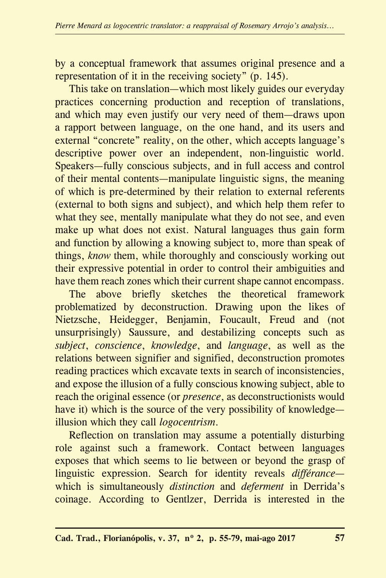by a conceptual framework that assumes original presence and a representation of it in the receiving society" (p. 145).

This take on translation—which most likely guides our everyday practices concerning production and reception of translations, and which may even justify our very need of them—draws upon a rapport between language, on the one hand, and its users and external "concrete" reality, on the other, which accepts language's descriptive power over an independent, non-linguistic world. Speakers—fully conscious subjects, and in full access and control of their mental contents—manipulate linguistic signs, the meaning of which is pre-determined by their relation to external referents (external to both signs and subject), and which help them refer to what they see, mentally manipulate what they do not see, and even make up what does not exist. Natural languages thus gain form and function by allowing a knowing subject to, more than speak of things, *know* them, while thoroughly and consciously working out their expressive potential in order to control their ambiguities and have them reach zones which their current shape cannot encompass.

The above briefly sketches the theoretical framework problematized by deconstruction. Drawing upon the likes of Nietzsche, Heidegger, Benjamin, Foucault, Freud and (not unsurprisingly) Saussure, and destabilizing concepts such as *subject*, *conscience*, *knowledge*, and *language*, as well as the relations between signifier and signified, deconstruction promotes reading practices which excavate texts in search of inconsistencies, and expose the illusion of a fully conscious knowing subject, able to reach the original essence (or *presence*, as deconstructionists would have it) which is the source of the very possibility of knowledge illusion which they call *logocentrism*.

Reflection on translation may assume a potentially disturbing role against such a framework. Contact between languages exposes that which seems to lie between or beyond the grasp of linguistic expression. Search for identity reveals *différance* which is simultaneously *distinction* and *deferment* in Derrida's coinage. According to Gentlzer, Derrida is interested in the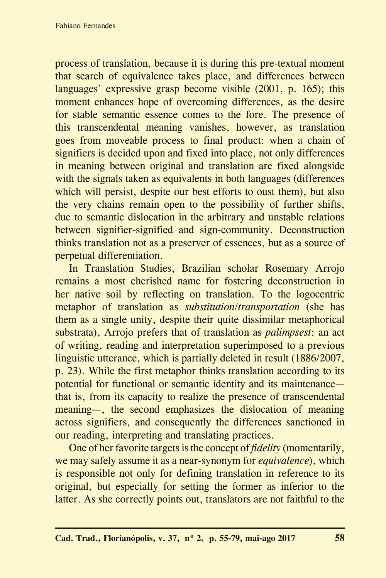process of translation, because it is during this pre-textual moment that search of equivalence takes place, and differences between languages' expressive grasp become visible (2001, p. 165); this moment enhances hope of overcoming differences, as the desire for stable semantic essence comes to the fore. The presence of this transcendental meaning vanishes, however, as translation goes from moveable process to final product: when a chain of signifiers is decided upon and fixed into place, not only differences in meaning between original and translation are fixed alongside with the signals taken as equivalents in both languages (differences which will persist, despite our best efforts to oust them), but also the very chains remain open to the possibility of further shifts, due to semantic dislocation in the arbitrary and unstable relations between signifier-signified and sign-community. Deconstruction thinks translation not as a preserver of essences, but as a source of perpetual differentiation.

In Translation Studies, Brazilian scholar Rosemary Arrojo remains a most cherished name for fostering deconstruction in her native soil by reflecting on translation. To the logocentric metaphor of translation as *substitution*/*transportation* (she has them as a single unity, despite their quite dissimilar metaphorical substrata), Arrojo prefers that of translation as *palimpsest*: an act of writing, reading and interpretation superimposed to a previous linguistic utterance, which is partially deleted in result (1886/2007, p. 23). While the first metaphor thinks translation according to its potential for functional or semantic identity and its maintenance that is, from its capacity to realize the presence of transcendental meaning—, the second emphasizes the dislocation of meaning across signifiers, and consequently the differences sanctioned in our reading, interpreting and translating practices.

One of her favorite targets is the concept of *fidelity* (momentarily, we may safely assume it as a near-synonym for *equivalence*), which is responsible not only for defining translation in reference to its original, but especially for setting the former as inferior to the latter. As she correctly points out, translators are not faithful to the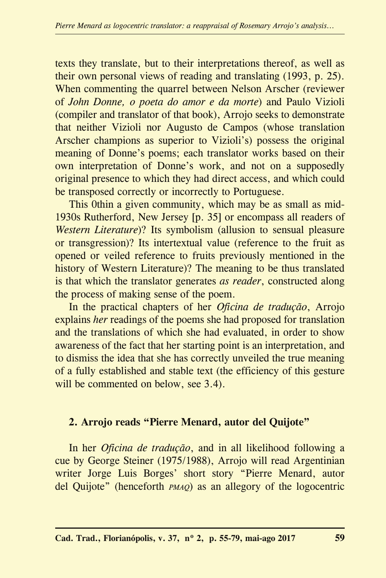texts they translate, but to their interpretations thereof, as well as their own personal views of reading and translating (1993, p. 25). When commenting the quarrel between Nelson Arscher (reviewer of *John Donne, o poeta do amor e da morte*) and Paulo Vizioli (compiler and translator of that book), Arrojo seeks to demonstrate that neither Vizioli nor Augusto de Campos (whose translation Arscher champions as superior to Vizioli's) possess the original meaning of Donne's poems; each translator works based on their own interpretation of Donne's work, and not on a supposedly original presence to which they had direct access, and which could be transposed correctly or incorrectly to Portuguese.

This 0thin a given community, which may be as small as mid-1930s Rutherford, New Jersey [p. 35] or encompass all readers of *Western Literature*)? Its symbolism (allusion to sensual pleasure or transgression)? Its intertextual value (reference to the fruit as opened or veiled reference to fruits previously mentioned in the history of Western Literature)? The meaning to be thus translated is that which the translator generates *as reader*, constructed along the process of making sense of the poem.

In the practical chapters of her *Oficina de tradução*, Arrojo explains *her* readings of the poems she had proposed for translation and the translations of which she had evaluated, in order to show awareness of the fact that her starting point is an interpretation, and to dismiss the idea that she has correctly unveiled the true meaning of a fully established and stable text (the efficiency of this gesture will be commented on below, see 3.4).

# **2. Arrojo reads "Pierre Menard, autor del Quijote"**

In her *Oficina de tradução*, and in all likelihood following a cue by George Steiner (1975/1988), Arrojo will read Argentinian writer Jorge Luis Borges' short story "Pierre Menard, autor del Quijote" (henceforth *pmaq*) as an allegory of the logocentric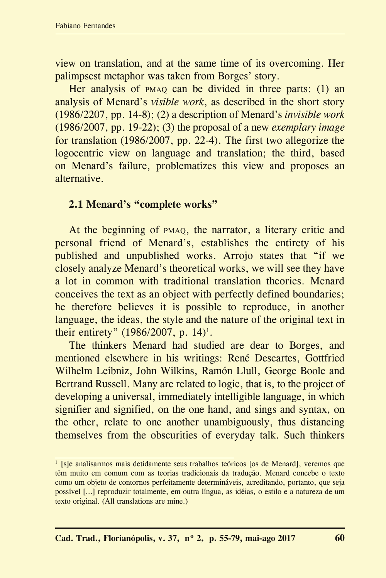view on translation, and at the same time of its overcoming. Her palimpsest metaphor was taken from Borges' story.

Her analysis of **PMAQ** can be divided in three parts: (1) an analysis of Menard's *visible work*, as described in the short story (1986/2207, pp. 14-8); (2) a description of Menard's *invisible work* (1986/2007, pp. 19-22); (3) the proposal of a new *exemplary image* for translation (1986/2007, pp. 22-4). The first two allegorize the logocentric view on language and translation; the third, based on Menard's failure, problematizes this view and proposes an alternative.

### **2.1 Menard's "complete works"**

At the beginning of pmaq, the narrator, a literary critic and personal friend of Menard's, establishes the entirety of his published and unpublished works. Arrojo states that "if we closely analyze Menard's theoretical works, we will see they have a lot in common with traditional translation theories. Menard conceives the text as an object with perfectly defined boundaries; he therefore believes it is possible to reproduce, in another language, the ideas, the style and the nature of the original text in their entirety" (1986/2007, p. 14)<sup>1</sup>.

The thinkers Menard had studied are dear to Borges, and mentioned elsewhere in his writings: René Descartes, Gottfried Wilhelm Leibniz, John Wilkins, Ramón Llull, George Boole and Bertrand Russell. Many are related to logic, that is, to the project of developing a universal, immediately intelligible language, in which signifier and signified, on the one hand, and sings and syntax, on the other, relate to one another unambiguously, thus distancing themselves from the obscurities of everyday talk. Such thinkers

<sup>1</sup> [s]e analisarmos mais detidamente seus trabalhos teóricos [os de Menard], veremos que têm muito em comum com as teorias tradicionais da tradução. Menard concebe o texto como um objeto de contornos perfeitamente determináveis, acreditando, portanto, que seja possível […] reproduzir totalmente, em outra língua, as idéias, o estilo e a natureza de um texto original. (All translations are mine.)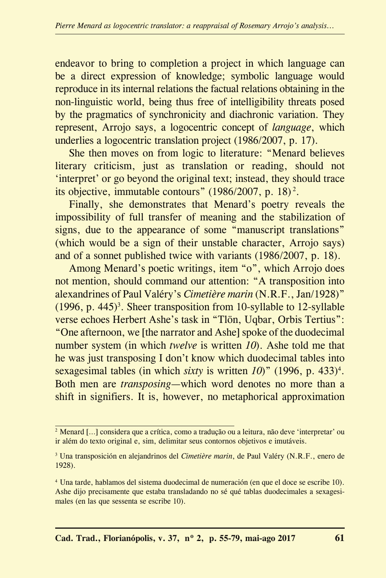endeavor to bring to completion a project in which language can be a direct expression of knowledge; symbolic language would reproduce in its internal relations the factual relations obtaining in the non-linguistic world, being thus free of intelligibility threats posed by the pragmatics of synchronicity and diachronic variation. They represent, Arrojo says, a logocentric concept of *language*, which underlies a logocentric translation project (1986/2007, p. 17).

She then moves on from logic to literature: "Menard believes literary criticism, just as translation or reading, should not 'interpret' or go beyond the original text; instead, they should trace its objective, immutable contours" (1986/2007, p. 18) <sup>2</sup> .

Finally, she demonstrates that Menard's poetry reveals the impossibility of full transfer of meaning and the stabilization of signs, due to the appearance of some "manuscript translations" (which would be a sign of their unstable character, Arrojo says) and of a sonnet published twice with variants (1986/2007, p. 18).

Among Menard's poetic writings, item "o", which Arrojo does not mention, should command our attention: "A transposition into alexandrines of Paul Valéry's *Cimetière marin* (N.R.F., Jan/1928)"  $(1996, p. 445)^3$ . Sheer transposition from 10-syllable to 12-syllable verse echoes Herbert Ashe's task in "Tlön, Uqbar, Orbis Tertius": "One afternoon, we [the narrator and Ashe] spoke of the duodecimal number system (in which *twelve* is written *10*). Ashe told me that he was just transposing I don't know which duodecimal tables into sexagesimal tables (in which *sixty* is written *10*)" (1996, p. 433)<sup>4</sup>. Both men are *transposing*—which word denotes no more than a shift in signifiers. It is, however, no metaphorical approximation

<sup>&</sup>lt;sup>2</sup> Menard [...] considera que a crítica, como a tradução ou a leitura, não deve 'interpretar' ou ir além do texto original e, sim, delimitar seus contornos objetivos e imutáveis.

<sup>3</sup> Una transposición en alejandrinos del *Cimetière marin*, de Paul Valéry (N.R.F., enero de 1928).

<sup>4</sup> Una tarde, hablamos del sistema duodecimal de numeración (en que el doce se escribe 10). Ashe dijo precisamente que estaba transladando no sé qué tablas duodecimales a sexagesimales (en las que sessenta se escribe 10).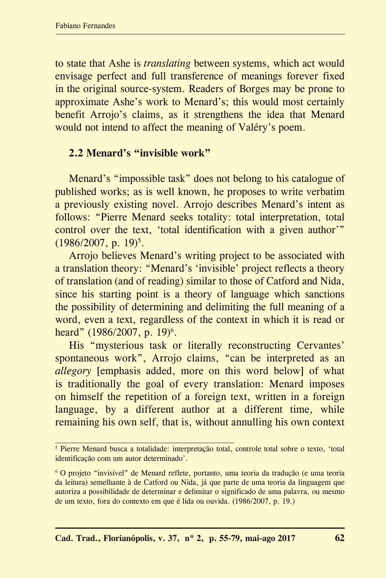to state that Ashe is *translating* between systems, which act would envisage perfect and full transference of meanings forever fixed in the original source-system. Readers of Borges may be prone to approximate Ashe's work to Menard's; this would most certainly benefit Arrojo's claims, as it strengthens the idea that Menard would not intend to affect the meaning of Valéry's poem.

#### **2.2 Menard's "invisible work"**

Menard's "impossible task" does not belong to his catalogue of published works; as is well known, he proposes to write verbatim a previously existing novel. Arrojo describes Menard's intent as follows: "Pierre Menard seeks totality: total interpretation, total control over the text, 'total identification with a given author'"  $(1986/2007, p. 19)<sup>5</sup>$ .

Arrojo believes Menard's writing project to be associated with a translation theory: "Menard's 'invisible' project reflects a theory of translation (and of reading) similar to those of Catford and Nida, since his starting point is a theory of language which sanctions the possibility of determining and delimiting the full meaning of a word, even a text, regardless of the context in which it is read or heard" (1986/2007, p. 19)<sup>6</sup>.

His "mysterious task or literally reconstructing Cervantes' spontaneous work", Arrojo claims, "can be interpreted as an *allegory* [emphasis added, more on this word below] of what is traditionally the goal of every translation: Menard imposes on himself the repetition of a foreign text, written in a foreign language, by a different author at a different time, while remaining his own self, that is, without annulling his own context

<sup>5</sup> Pierre Menard busca a totalidade: interpretação total, controle total sobre o texto, 'total identificação com um autor determinado'.

<sup>6</sup> O projeto "invisível" de Menard reflete, portanto, uma teoria da tradução (e uma teoria da leitura) semelhante à de Catford ou Nida, já que parte de uma teoria da linguagem que autoriza a possibilidade de determinar e delimitar o significado de uma palavra, ou mesmo de um texto, fora do contexto em que é lida ou ouvida. (1986/2007, p. 19.)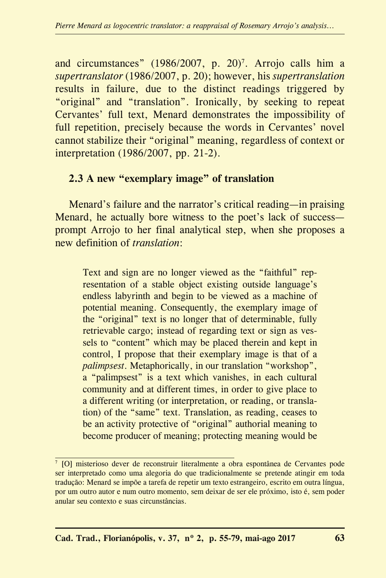and circumstances" (1986/2007, p. 20)<sup>7</sup>. Arrojo calls him a *supertranslator* (1986/2007, p. 20); however, his *supertranslation* results in failure, due to the distinct readings triggered by "original" and "translation". Ironically, by seeking to repeat Cervantes' full text, Menard demonstrates the impossibility of full repetition, precisely because the words in Cervantes' novel cannot stabilize their "original" meaning, regardless of context or interpretation (1986/2007, pp. 21-2).

## **2.3 A new "exemplary image" of translation**

Menard's failure and the narrator's critical reading—in praising Menard, he actually bore witness to the poet's lack of success prompt Arrojo to her final analytical step, when she proposes a new definition of *translation*:

Text and sign are no longer viewed as the "faithful" representation of a stable object existing outside language's endless labyrinth and begin to be viewed as a machine of potential meaning. Consequently, the exemplary image of the "original" text is no longer that of determinable, fully retrievable cargo; instead of regarding text or sign as vessels to "content" which may be placed therein and kept in control, I propose that their exemplary image is that of a *palimpsest*. Metaphorically, in our translation "workshop", a "palimpsest" is a text which vanishes, in each cultural community and at different times, in order to give place to a different writing (or interpretation, or reading, or translation) of the "same" text. Translation, as reading, ceases to be an activity protective of "original" authorial meaning to become producer of meaning; protecting meaning would be

<sup>7</sup> [O] misterioso dever de reconstruir literalmente a obra espontânea de Cervantes pode ser interpretado como uma alegoria do que tradicionalmente se pretende atingir em toda tradução: Menard se impõe a tarefa de repetir um texto estrangeiro, escrito em outra língua, por um outro autor e num outro momento, sem deixar de ser ele próximo, isto é, sem poder anular seu contexto e suas circunstâncias.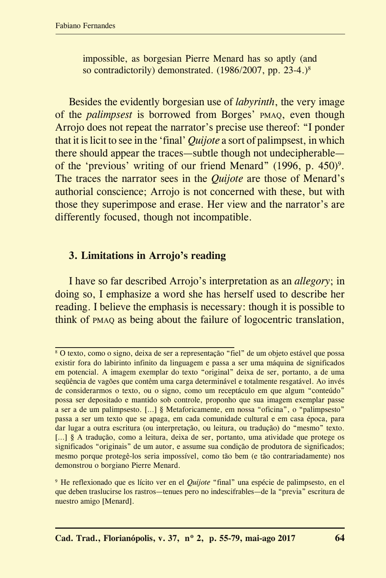impossible, as borgesian Pierre Menard has so aptly (and so contradictorily) demonstrated. (1986/2007, pp. 23-4.)<sup>8</sup>

Besides the evidently borgesian use of *labyrinth*, the very image of the *palimpsest* is borrowed from Borges' pmaq, even though Arrojo does not repeat the narrator's precise use thereof: "I ponder that it is licit to see in the 'final' *Quijote* a sort of palimpsest, in which there should appear the traces—subtle though not undecipherable of the 'previous' writing of our friend Menard" (1996, p. 450)<sup>9</sup>. The traces the narrator sees in the *Quijote* are those of Menard's authorial conscience; Arrojo is not concerned with these, but with those they superimpose and erase. Her view and the narrator's are differently focused, though not incompatible.

### **3. Limitations in Arrojo's reading**

I have so far described Arrojo's interpretation as an *allegory*; in doing so, I emphasize a word she has herself used to describe her reading. I believe the emphasis is necessary: though it is possible to think of pmaq as being about the failure of logocentric translation,

<sup>8</sup> O texto, como o signo, deixa de ser a representação "fiel" de um objeto estável que possa existir fora do labirinto infinito da linguagem e passa a ser uma máquina de significados em potencial. A imagem exemplar do texto "original" deixa de ser, portanto, a de uma seqüência de vagões que contêm uma carga determinável e totalmente resgatável. Ao invés de considerarmos o texto, ou o signo, como um receptáculo em que algum "conteúdo" possa ser depositado e mantido sob controle, proponho que sua imagem exemplar passe a ser a de um palimpsesto. […] § Metaforicamente, em nossa "oficina", o "palimpsesto" passa a ser um texto que se apaga, em cada comunidade cultural e em casa época, para dar lugar a outra escritura (ou interpretação, ou leitura, ou tradução) do "mesmo" texto. [...] § A tradução, como a leitura, deixa de ser, portanto, uma atividade que protege os significados "originais" de um autor, e assume sua condição de produtora de significados; mesmo porque protegê-los seria impossível, como tão bem (e tão contrariadamente) nos demonstrou o borgiano Pierre Menard.

<sup>9</sup> He reflexionado que es lícito ver en el *Quijote* "final" una espécie de palimpsesto, en el que deben traslucirse los rastros—tenues pero no indescifrables—de la "previa" escritura de nuestro amigo [Menard].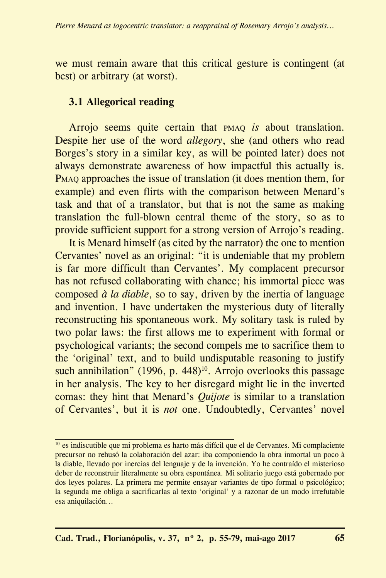we must remain aware that this critical gesture is contingent (at best) or arbitrary (at worst).

### **3.1 Allegorical reading**

Arrojo seems quite certain that pmaq *is* about translation. Despite her use of the word *allegory*, she (and others who read Borges's story in a similar key, as will be pointed later) does not always demonstrate awareness of how impactful this actually is. P<sub>MAO</sub> approaches the issue of translation (it does mention them, for example) and even flirts with the comparison between Menard's task and that of a translator, but that is not the same as making translation the full-blown central theme of the story, so as to provide sufficient support for a strong version of Arrojo's reading.

It is Menard himself (as cited by the narrator) the one to mention Cervantes' novel as an original: "it is undeniable that my problem is far more difficult than Cervantes'. My complacent precursor has not refused collaborating with chance; his immortal piece was composed *à la diable*, so to say, driven by the inertia of language and invention. I have undertaken the mysterious duty of literally reconstructing his spontaneous work. My solitary task is ruled by two polar laws: the first allows me to experiment with formal or psychological variants; the second compels me to sacrifice them to the 'original' text, and to build undisputable reasoning to justify such annihilation" (1996, p. 448)<sup>10</sup>. Arrojo overlooks this passage in her analysis. The key to her disregard might lie in the inverted comas: they hint that Menard's *Quijote* is similar to a translation of Cervantes', but it is *not* one. Undoubtedly, Cervantes' novel

<sup>&</sup>lt;sup>10</sup> es indiscutible que mi problema es harto más difícil que el de Cervantes. Mi complaciente precursor no rehusó la colaboración del azar: iba componiendo la obra inmortal un poco à la diable, llevado por inercias del lenguaje y de la invención. Yo he contraído el misterioso deber de reconstruir literalmente su obra espontánea. Mi solitario juego está gobernado por dos leyes polares. La primera me permite ensayar variantes de tipo formal o psicológico; la segunda me obliga a sacrificarlas al texto 'original' y a razonar de un modo irrefutable esa aniquilación...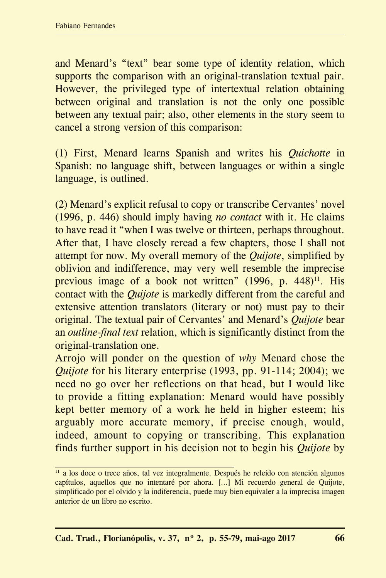and Menard's "text" bear some type of identity relation, which supports the comparison with an original-translation textual pair. However, the privileged type of intertextual relation obtaining between original and translation is not the only one possible between any textual pair; also, other elements in the story seem to cancel a strong version of this comparison:

(1) First, Menard learns Spanish and writes his *Quichotte* in Spanish: no language shift, between languages or within a single language, is outlined.

(2) Menard's explicit refusal to copy or transcribe Cervantes' novel (1996, p. 446) should imply having *no contact* with it. He claims to have read it "when I was twelve or thirteen, perhaps throughout. After that, I have closely reread a few chapters, those I shall not attempt for now. My overall memory of the *Quijote*, simplified by oblivion and indifference, may very well resemble the imprecise previous image of a book not written"  $(1996, p. 448)^{11}$ . His contact with the *Quijote* is markedly different from the careful and extensive attention translators (literary or not) must pay to their original. The textual pair of Cervantes' and Menard's *Quijote* bear an *outline-final text* relation, which is significantly distinct from the original-translation one.

Arrojo will ponder on the question of *why* Menard chose the *Quijote* for his literary enterprise (1993, pp. 91-114; 2004); we need no go over her reflections on that head, but I would like to provide a fitting explanation: Menard would have possibly kept better memory of a work he held in higher esteem; his arguably more accurate memory, if precise enough, would, indeed, amount to copying or transcribing. This explanation finds further support in his decision not to begin his *Quijote* by

<sup>&</sup>lt;sup>11</sup> a los doce o trece años, tal vez integralmente. Después he releído con atención algunos capítulos, aquellos que no intentaré por ahora. […] Mi recuerdo general de Quijote, simplificado por el olvido y la indiferencia, puede muy bien equivaler a la imprecisa imagen anterior de un libro no escrito.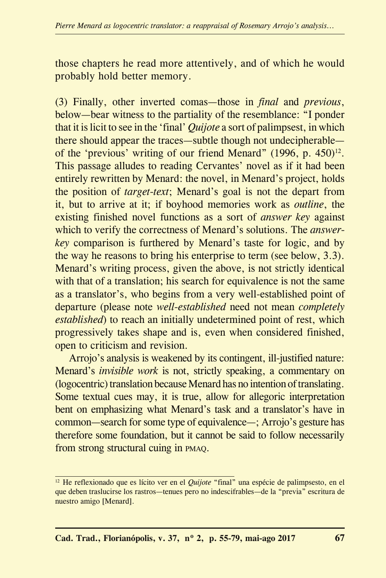those chapters he read more attentively, and of which he would probably hold better memory.

(3) Finally, other inverted comas—those in *final* and *previous*, below—bear witness to the partiality of the resemblance: "I ponder that it is licit to see in the 'final' *Quijote* a sort of palimpsest, in which there should appear the traces—subtle though not undecipherable of the 'previous' writing of our friend Menard"  $(1996, p. 450)^{12}$ . This passage alludes to reading Cervantes' novel as if it had been entirely rewritten by Menard: the novel, in Menard's project, holds the position of *target-text*; Menard's goal is not the depart from it, but to arrive at it; if boyhood memories work as *outline*, the existing finished novel functions as a sort of *answer key* against which to verify the correctness of Menard's solutions. The *answerkey* comparison is furthered by Menard's taste for logic, and by the way he reasons to bring his enterprise to term (see below, 3.3). Menard's writing process, given the above, is not strictly identical with that of a translation; his search for equivalence is not the same as a translator's, who begins from a very well-established point of departure (please note *well-established* need not mean *completely established*) to reach an initially undetermined point of rest, which progressively takes shape and is, even when considered finished, open to criticism and revision.

Arrojo's analysis is weakened by its contingent, ill-justified nature: Menard's *invisible work* is not, strictly speaking, a commentary on (logocentric) translation because Menard has no intention of translating. Some textual cues may, it is true, allow for allegoric interpretation bent on emphasizing what Menard's task and a translator's have in common—search for some type of equivalence—; Arrojo's gesture has therefore some foundation, but it cannot be said to follow necessarily from strong structural cuing in pmaq.

<sup>&</sup>lt;sup>12</sup> He reflexionado que es lícito ver en el *Quijote* "final" una espécie de palimpsesto, en el que deben traslucirse los rastros—tenues pero no indescifrables—de la "previa" escritura de nuestro amigo [Menard].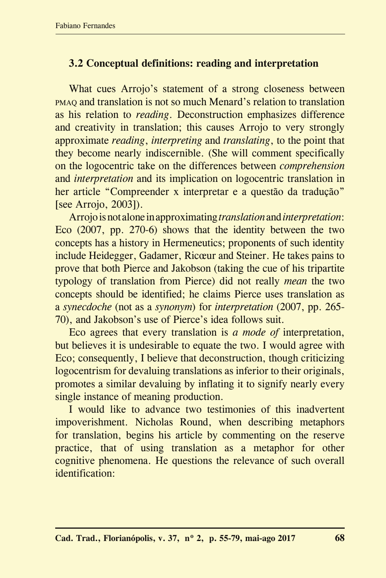## **3.2 Conceptual definitions: reading and interpretation**

What cues Arrojo's statement of a strong closeness between pmaq and translation is not so much Menard's relation to translation as his relation to *reading*. Deconstruction emphasizes difference and creativity in translation; this causes Arrojo to very strongly approximate *reading*, *interpreting* and *translating*, to the point that they become nearly indiscernible. (She will comment specifically on the logocentric take on the differences between *comprehension* and *interpretation* and its implication on logocentric translation in her article "Compreender x interpretar e a questão da tradução" [see Arrojo, 2003]).

Arrojo is not alone in approximating *translation* and *interpretation*: Eco (2007, pp. 270-6) shows that the identity between the two concepts has a history in Hermeneutics; proponents of such identity include Heidegger, Gadamer, Ricœur and Steiner. He takes pains to prove that both Pierce and Jakobson (taking the cue of his tripartite typology of translation from Pierce) did not really *mean* the two concepts should be identified; he claims Pierce uses translation as a *synecdoche* (not as a *synonym*) for *interpretation* (2007, pp. 265- 70), and Jakobson's use of Pierce's idea follows suit.

Eco agrees that every translation is *a mode of* interpretation, but believes it is undesirable to equate the two. I would agree with Eco; consequently, I believe that deconstruction, though criticizing logocentrism for devaluing translations as inferior to their originals, promotes a similar devaluing by inflating it to signify nearly every single instance of meaning production.

I would like to advance two testimonies of this inadvertent impoverishment. Nicholas Round, when describing metaphors for translation, begins his article by commenting on the reserve practice, that of using translation as a metaphor for other cognitive phenomena. He questions the relevance of such overall identification: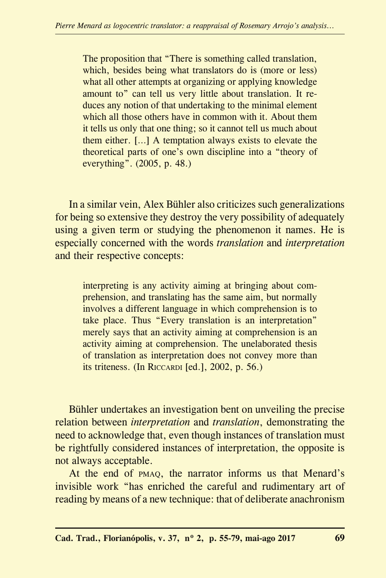The proposition that "There is something called translation, which, besides being what translators do is (more or less) what all other attempts at organizing or applying knowledge amount to" can tell us very little about translation. It reduces any notion of that undertaking to the minimal element which all those others have in common with it. About them it tells us only that one thing; so it cannot tell us much about them either. […] A temptation always exists to elevate the theoretical parts of one's own discipline into a "theory of everything". (2005, p. 48.)

In a similar vein, Alex Bühler also criticizes such generalizations for being so extensive they destroy the very possibility of adequately using a given term or studying the phenomenon it names. He is especially concerned with the words *translation* and *interpretation* and their respective concepts:

interpreting is any activity aiming at bringing about comprehension, and translating has the same aim, but normally involves a different language in which comprehension is to take place. Thus "Every translation is an interpretation" merely says that an activity aiming at comprehension is an activity aiming at comprehension. The unelaborated thesis of translation as interpretation does not convey more than its triteness. (In RICCARDI  $[ed.]$ , 2002, p. 56.)

Bühler undertakes an investigation bent on unveiling the precise relation between *interpretation* and *translation*, demonstrating the need to acknowledge that, even though instances of translation must be rightfully considered instances of interpretation, the opposite is not always acceptable.

At the end of pmaq, the narrator informs us that Menard's invisible work "has enriched the careful and rudimentary art of reading by means of a new technique: that of deliberate anachronism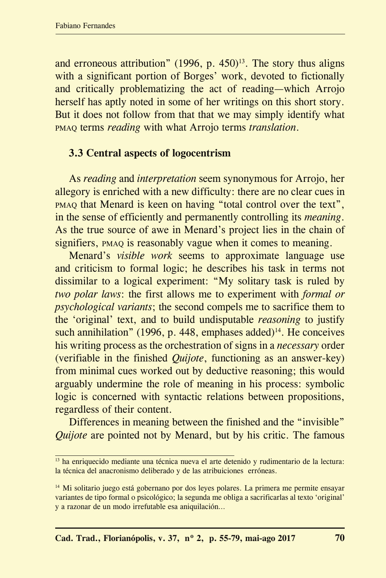and erroneous attribution" (1996, p.  $450$ <sup>13</sup>. The story thus aligns with a significant portion of Borges' work, devoted to fictionally and critically problematizing the act of reading—which Arrojo herself has aptly noted in some of her writings on this short story. But it does not follow from that that we may simply identify what pmaq terms *reading* with what Arrojo terms *translation*.

#### **3.3 Central aspects of logocentrism**

As *reading* and *interpretation* seem synonymous for Arrojo, her allegory is enriched with a new difficulty: there are no clear cues in pmaq that Menard is keen on having "total control over the text", in the sense of efficiently and permanently controlling its *meaning*. As the true source of awe in Menard's project lies in the chain of signifiers, **PMAQ** is reasonably vague when it comes to meaning.

Menard's *visible work* seems to approximate language use and criticism to formal logic; he describes his task in terms not dissimilar to a logical experiment: "My solitary task is ruled by *two polar laws*: the first allows me to experiment with *formal or psychological variants*; the second compels me to sacrifice them to the 'original' text, and to build undisputable *reasoning* to justify such annihilation" (1996, p. 448, emphases added) $14$ . He conceives his writing process as the orchestration of signs in a *necessary* order (verifiable in the finished *Quijote*, functioning as an answer-key) from minimal cues worked out by deductive reasoning; this would arguably undermine the role of meaning in his process: symbolic logic is concerned with syntactic relations between propositions, regardless of their content.

Differences in meaning between the finished and the "invisible" *Quijote* are pointed not by Menard, but by his critic. The famous

 $13$  ha enriquecido mediante una técnica nueva el arte detenido y rudimentario de la lectura: la técnica del anacronismo deliberado y de las atribuiciones erróneas.

<sup>&</sup>lt;sup>14</sup> Mi solitario juego está gobernano por dos leyes polares. La primera me permite ensayar variantes de tipo formal o psicológico; la segunda me obliga a sacrificarlas al texto 'original' y a razonar de un modo irrefutable esa aniquilación…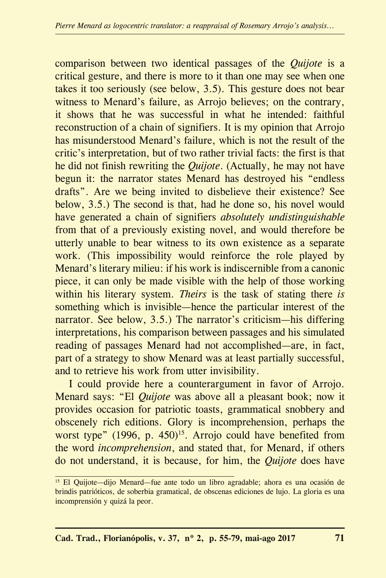comparison between two identical passages of the *Quijote* is a critical gesture, and there is more to it than one may see when one takes it too seriously (see below, 3.5). This gesture does not bear witness to Menard's failure, as Arrojo believes; on the contrary, it shows that he was successful in what he intended: faithful reconstruction of a chain of signifiers. It is my opinion that Arrojo has misunderstood Menard's failure, which is not the result of the critic's interpretation, but of two rather trivial facts: the first is that he did not finish rewriting the *Quijote*. (Actually, he may not have begun it: the narrator states Menard has destroyed his "endless drafts". Are we being invited to disbelieve their existence? See below, 3.5.) The second is that, had he done so, his novel would have generated a chain of signifiers *absolutely undistinguishable* from that of a previously existing novel, and would therefore be utterly unable to bear witness to its own existence as a separate work. (This impossibility would reinforce the role played by Menard's literary milieu: if his work is indiscernible from a canonic piece, it can only be made visible with the help of those working within his literary system. *Theirs* is the task of stating there *is* something which is invisible—hence the particular interest of the narrator. See below, 3.5.) The narrator's criticism—his differing interpretations, his comparison between passages and his simulated reading of passages Menard had not accomplished—are, in fact, part of a strategy to show Menard was at least partially successful, and to retrieve his work from utter invisibility.

I could provide here a counterargument in favor of Arrojo. Menard says: "El *Quijote* was above all a pleasant book; now it provides occasion for patriotic toasts, grammatical snobbery and obscenely rich editions. Glory is incomprehension, perhaps the worst type"  $(1996, p. 450)^{15}$ . Arrojo could have benefited from the word *incomprehension*, and stated that, for Menard, if others do not understand, it is because, for him, the *Quijote* does have

<sup>15</sup> El Quijote—dijo Menard—fue ante todo un libro agradable; ahora es una ocasión de brindis patrióticos, de soberbia gramatical, de obscenas ediciones de lujo. La gloria es una incomprensión y quizá la peor.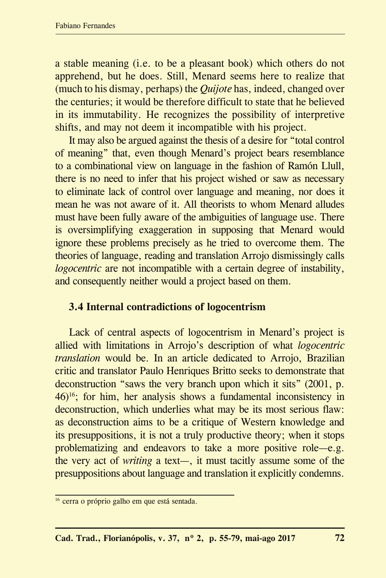a stable meaning (i.e. to be a pleasant book) which others do not apprehend, but he does. Still, Menard seems here to realize that (much to his dismay, perhaps) the *Quijote* has, indeed, changed over the centuries; it would be therefore difficult to state that he believed in its immutability. He recognizes the possibility of interpretive shifts, and may not deem it incompatible with his project.

It may also be argued against the thesis of a desire for "total control of meaning" that, even though Menard's project bears resemblance to a combinational view on language in the fashion of Ramón Llull, there is no need to infer that his project wished or saw as necessary to eliminate lack of control over language and meaning, nor does it mean he was not aware of it. All theorists to whom Menard alludes must have been fully aware of the ambiguities of language use. There is oversimplifying exaggeration in supposing that Menard would ignore these problems precisely as he tried to overcome them. The theories of language, reading and translation Arrojo dismissingly calls *logocentric* are not incompatible with a certain degree of instability, and consequently neither would a project based on them.

### **3.4 Internal contradictions of logocentrism**

Lack of central aspects of logocentrism in Menard's project is allied with limitations in Arrojo's description of what *logocentric translation* would be. In an article dedicated to Arrojo, Brazilian critic and translator Paulo Henriques Britto seeks to demonstrate that deconstruction "saws the very branch upon which it sits" (2001, p.  $46$ <sup>16</sup>; for him, her analysis shows a fundamental inconsistency in deconstruction, which underlies what may be its most serious flaw: as deconstruction aims to be a critique of Western knowledge and its presuppositions, it is not a truly productive theory; when it stops problematizing and endeavors to take a more positive role—e.g. the very act of *writing* a text—, it must tacitly assume some of the presuppositions about language and translation it explicitly condemns.

<sup>&</sup>lt;sup>16</sup> cerra o próprio galho em que está sentada.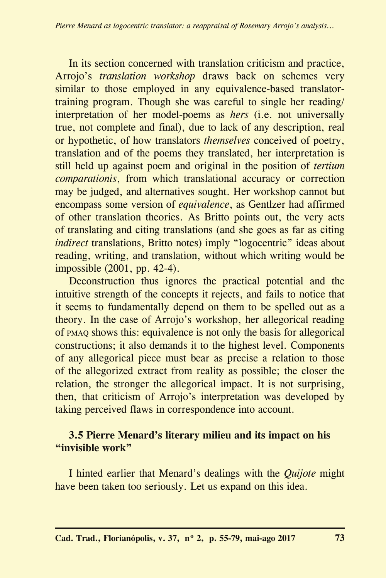In its section concerned with translation criticism and practice, Arrojo's *translation workshop* draws back on schemes very similar to those employed in any equivalence-based translatortraining program. Though she was careful to single her reading/ interpretation of her model-poems as *hers* (i.e. not universally true, not complete and final), due to lack of any description, real or hypothetic, of how translators *themselves* conceived of poetry, translation and of the poems they translated, her interpretation is still held up against poem and original in the position of *tertium comparationis*, from which translational accuracy or correction may be judged, and alternatives sought. Her workshop cannot but encompass some version of *equivalence*, as Gentlzer had affirmed of other translation theories. As Britto points out, the very acts of translating and citing translations (and she goes as far as citing *indirect* translations, Britto notes) imply "logocentric" ideas about reading, writing, and translation, without which writing would be impossible (2001, pp. 42-4).

Deconstruction thus ignores the practical potential and the intuitive strength of the concepts it rejects, and fails to notice that it seems to fundamentally depend on them to be spelled out as a theory. In the case of Arrojo's workshop, her allegorical reading of pmaq shows this: equivalence is not only the basis for allegorical constructions; it also demands it to the highest level. Components of any allegorical piece must bear as precise a relation to those of the allegorized extract from reality as possible; the closer the relation, the stronger the allegorical impact. It is not surprising, then, that criticism of Arrojo's interpretation was developed by taking perceived flaws in correspondence into account.

# **3.5 Pierre Menard's literary milieu and its impact on his "invisible work"**

I hinted earlier that Menard's dealings with the *Quijote* might have been taken too seriously. Let us expand on this idea.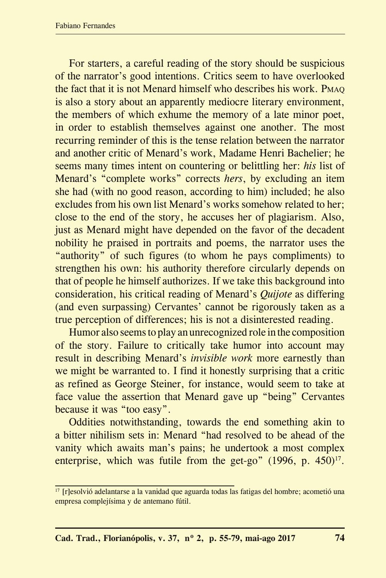For starters, a careful reading of the story should be suspicious of the narrator's good intentions. Critics seem to have overlooked the fact that it is not Menard himself who describes his work. pmaq is also a story about an apparently mediocre literary environment, the members of which exhume the memory of a late minor poet, in order to establish themselves against one another. The most recurring reminder of this is the tense relation between the narrator and another critic of Menard's work, Madame Henri Bachelier; he seems many times intent on countering or belittling her: *his* list of Menard's "complete works" corrects *hers*, by excluding an item she had (with no good reason, according to him) included; he also excludes from his own list Menard's works somehow related to her; close to the end of the story, he accuses her of plagiarism. Also, just as Menard might have depended on the favor of the decadent nobility he praised in portraits and poems, the narrator uses the "authority" of such figures (to whom he pays compliments) to strengthen his own: his authority therefore circularly depends on that of people he himself authorizes. If we take this background into consideration, his critical reading of Menard's *Quijote* as differing (and even surpassing) Cervantes' cannot be rigorously taken as a true perception of differences; his is not a disinterested reading.

Humor also seems to play an unrecognized role in the composition of the story. Failure to critically take humor into account may result in describing Menard's *invisible work* more earnestly than we might be warranted to. I find it honestly surprising that a critic as refined as George Steiner, for instance, would seem to take at face value the assertion that Menard gave up "being" Cervantes because it was "too easy".

Oddities notwithstanding, towards the end something akin to a bitter nihilism sets in: Menard "had resolved to be ahead of the vanity which awaits man's pains; he undertook a most complex enterprise, which was futile from the get-go"  $(1996, p. 450)^{17}$ .

 $\frac{17}{17}$  [r]esolvió adelantarse a la vanidad que aguarda todas las fatigas del hombre; acometió una empresa complejísima y de antemano fútil.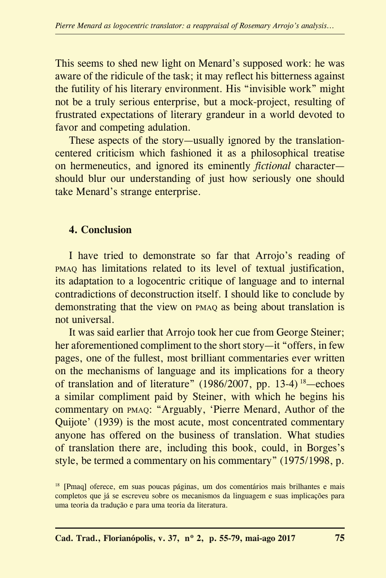This seems to shed new light on Menard's supposed work: he was aware of the ridicule of the task; it may reflect his bitterness against the futility of his literary environment. His "invisible work" might not be a truly serious enterprise, but a mock-project, resulting of frustrated expectations of literary grandeur in a world devoted to favor and competing adulation.

These aspects of the story—usually ignored by the translationcentered criticism which fashioned it as a philosophical treatise on hermeneutics, and ignored its eminently *fictional* character should blur our understanding of just how seriously one should take Menard's strange enterprise.

## **4. Conclusion**

I have tried to demonstrate so far that Arrojo's reading of pmaq has limitations related to its level of textual justification, its adaptation to a logocentric critique of language and to internal contradictions of deconstruction itself. I should like to conclude by demonstrating that the view on pmaq as being about translation is not universal.

It was said earlier that Arrojo took her cue from George Steiner; her aforementioned compliment to the short story—it "offers, in few pages, one of the fullest, most brilliant commentaries ever written on the mechanisms of language and its implications for a theory of translation and of literature" (1986/2007, pp. 13-4) <sup>18</sup>—echoes a similar compliment paid by Steiner, with which he begins his commentary on pmaq: "Arguably, 'Pierre Menard, Author of the Quijote' (1939) is the most acute, most concentrated commentary anyone has offered on the business of translation. What studies of translation there are, including this book, could, in Borges's style, be termed a commentary on his commentary" (1975/1998, p.

<sup>&</sup>lt;sup>18</sup> [Pmaq] oferece, em suas poucas páginas, um dos comentários mais brilhantes e mais completos que já se escreveu sobre os mecanismos da linguagem e suas implicações para uma teoria da tradução e para uma teoria da literatura.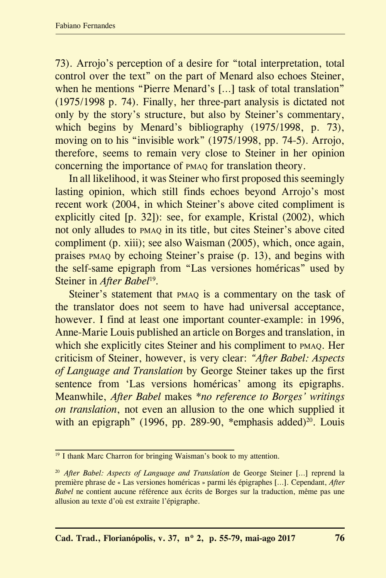73). Arrojo's perception of a desire for "total interpretation, total control over the text" on the part of Menard also echoes Steiner, when he mentions "Pierre Menard's [...] task of total translation" (1975/1998 p. 74). Finally, her three-part analysis is dictated not only by the story's structure, but also by Steiner's commentary, which begins by Menard's bibliography (1975/1998, p. 73), moving on to his "invisible work" (1975/1998, pp. 74-5). Arrojo, therefore, seems to remain very close to Steiner in her opinion concerning the importance of pmaq for translation theory.

In all likelihood, it was Steiner who first proposed this seemingly lasting opinion, which still finds echoes beyond Arrojo's most recent work (2004, in which Steiner's above cited compliment is explicitly cited [p. 32]): see, for example, Kristal (2002), which not only alludes to pmaq in its title, but cites Steiner's above cited compliment (p. xiii); see also Waisman (2005), which, once again, praises pmaq by echoing Steiner's praise (p. 13), and begins with the self-same epigraph from "Las versiones homéricas" used by Steiner in *After Babel*<sup>19</sup> *.*

Steiner's statement that pmaq is a commentary on the task of the translator does not seem to have had universal acceptance, however. I find at least one important counter-example: in 1996, Anne-Marie Louis published an article on Borges and translation, in which she explicitly cites Steiner and his compliment to pmaq. Her criticism of Steiner, however, is very clear: *"After Babel: Aspects of Language and Translation* by George Steiner takes up the first sentence from 'Las versions homéricas' among its epigraphs. Meanwhile, *After Babel* makes \**no reference to Borges' writings on translation*, not even an allusion to the one which supplied it with an epigraph" (1996, pp. 289-90, \*emphasis added) $^{20}$ . Louis

<sup>&</sup>lt;sup>19</sup> I thank Marc Charron for bringing Waisman's book to my attention.

<sup>20</sup> *After Babel: Aspects of Language and Translation* de George Steiner […] reprend la première phrase de « Las versiones homéricas » parmi lés épigraphes […]. Cependant, *After Babel* ne contient aucune référence aux écrits de Borges sur la traduction, même pas une allusion au texte d'où est extraite l'épigraphe.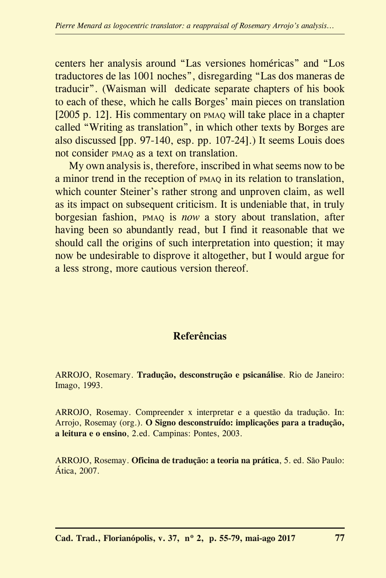centers her analysis around "Las versiones homéricas" and "Los traductores de las 1001 noches", disregarding "Las dos maneras de traducir". (Waisman will dedicate separate chapters of his book to each of these, which he calls Borges' main pieces on translation [2005 p. 12]. His commentary on pmaq will take place in a chapter called "Writing as translation", in which other texts by Borges are also discussed [pp. 97-140, esp. pp. 107-24].) It seems Louis does not consider pmaq as a text on translation.

My own analysis is, therefore, inscribed in what seems now to be a minor trend in the reception of **PMAQ** in its relation to translation, which counter Steiner's rather strong and unproven claim, as well as its impact on subsequent criticism. It is undeniable that, in truly borgesian fashion, pmaq is *now* a story about translation, after having been so abundantly read, but I find it reasonable that we should call the origins of such interpretation into question; it may now be undesirable to disprove it altogether, but I would argue for a less strong, more cautious version thereof.

# **Referências**

ARROJO, Rosemary. **Tradução, desconstrução e psicanálise**. Rio de Janeiro: Imago, 1993.

ARROJO, Rosemay. Compreender x interpretar e a questão da tradução. In: arrojo, Rosemay (org.). **O Signo desconstruído: implicações para a tradução, a leitura e o ensino**, 2.ed. Campinas: Pontes, 2003.

ARROJO, Rosemay. **Oficina de tradução: a teoria na prática**, 5. ed. São Paulo: Ática, 2007.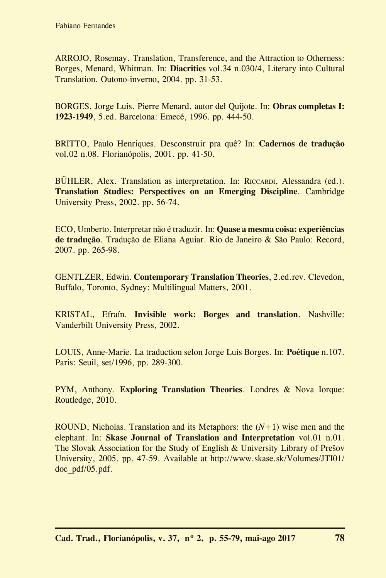ARROJO, Rosemay. Translation, Transference, and the Attraction to Otherness: Borges, Menard, Whitman. In: **Diacritics** vol.34 n.030/4, Literary into Cultural Translation. Outono-inverno, 2004. pp. 31-53.

BORGES, Jorge Luis. Pierre Menard, autor del Quijote. In: **Obras completas I: 1923-1949**, 5.ed. Barcelona: Emecé, 1996. pp. 444-50.

BRITTO, Paulo Henriques. Desconstruir pra quê? In: **Cadernos de tradução** vol.02 n.08. Florianópolis, 2001. pp. 41-50.

BÜHLER, Alex. Translation as interpretation. In: RICCARDI, Alessandra (ed.). **Translation Studies: Perspectives on an Emerging Discipline**. Cambridge University Press, 2002. pp. 56-74.

ECO, Umberto. Interpretar não é traduzir. In: **Quase a mesma coisa: experiências de tradução**. Tradução de Eliana Aguiar. Rio de Janeiro & São Paulo: Record, 2007. pp. 265-98.

GENTLZER, Edwin. **Contemporary Translation Theories**, 2.ed.rev. Clevedon, Buffalo, Toronto, Sydney: Multilingual Matters, 2001.

KRISTAL, Efraín. **Invisible work: Borges and translation**. Nashville: Vanderbilt University Press, 2002.

LOUIS, Anne-Marie. La traduction selon Jorge Luis Borges. In: **Poétique** n.107. Paris: Seuil, set/1996, pp. 289-300.

PYM, Anthony. **Exploring Translation Theories**. Londres & Nova Iorque: Routledge, 2010.

ROUND, Nicholas. Translation and its Metaphors: the  $(N+1)$  wise men and the elephant. In: **Skase Journal of Translation and Interpretation** vol.01 n.01. The Slovak Association for the Study of English & University Library of Prešov University, 2005. pp. 47-59. Available at http://www.skase.sk/Volumes/JTI01/ doc\_pdf/05.pdf.